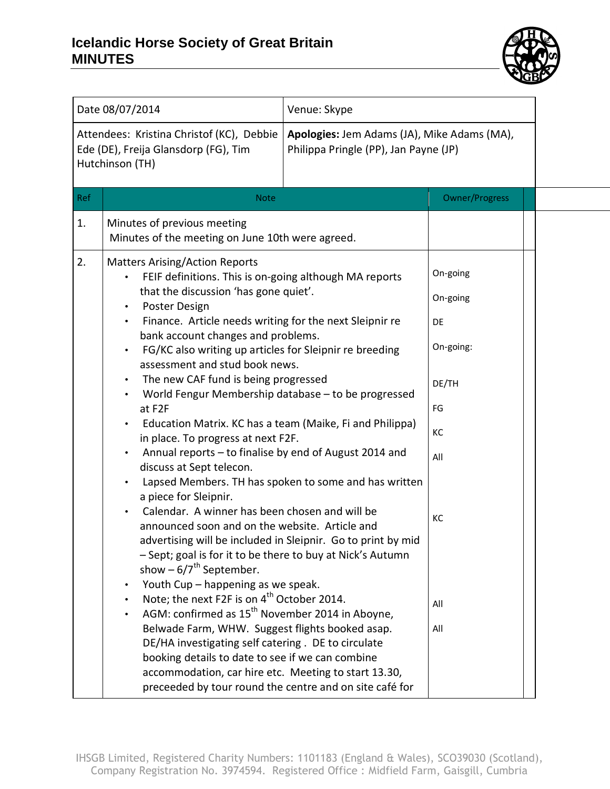## **Icelandic Horse Society of Great Britain MINUTES**



| Date 08/07/2014 |                                                                                                                                                                                                                                                                                                                                                                                                                                                                                                                                                                                                                                                                                                                                                                                                                                                                                                                                                                                                                                                                                                                                                                                                                                                                                                                                                                                                                                                            | Venue: Skype                                                                         |                                                                                                |  |
|-----------------|------------------------------------------------------------------------------------------------------------------------------------------------------------------------------------------------------------------------------------------------------------------------------------------------------------------------------------------------------------------------------------------------------------------------------------------------------------------------------------------------------------------------------------------------------------------------------------------------------------------------------------------------------------------------------------------------------------------------------------------------------------------------------------------------------------------------------------------------------------------------------------------------------------------------------------------------------------------------------------------------------------------------------------------------------------------------------------------------------------------------------------------------------------------------------------------------------------------------------------------------------------------------------------------------------------------------------------------------------------------------------------------------------------------------------------------------------------|--------------------------------------------------------------------------------------|------------------------------------------------------------------------------------------------|--|
|                 | Attendees: Kristina Christof (KC), Debbie<br>Ede (DE), Freija Glansdorp (FG), Tim<br>Hutchinson (TH)                                                                                                                                                                                                                                                                                                                                                                                                                                                                                                                                                                                                                                                                                                                                                                                                                                                                                                                                                                                                                                                                                                                                                                                                                                                                                                                                                       | Apologies: Jem Adams (JA), Mike Adams (MA),<br>Philippa Pringle (PP), Jan Payne (JP) |                                                                                                |  |
| Ref             | <b>Note</b>                                                                                                                                                                                                                                                                                                                                                                                                                                                                                                                                                                                                                                                                                                                                                                                                                                                                                                                                                                                                                                                                                                                                                                                                                                                                                                                                                                                                                                                |                                                                                      | <b>Owner/Progress</b>                                                                          |  |
| 1.              | Minutes of previous meeting<br>Minutes of the meeting on June 10th were agreed.                                                                                                                                                                                                                                                                                                                                                                                                                                                                                                                                                                                                                                                                                                                                                                                                                                                                                                                                                                                                                                                                                                                                                                                                                                                                                                                                                                            |                                                                                      |                                                                                                |  |
| 2.              | <b>Matters Arising/Action Reports</b><br>FEIF definitions. This is on-going although MA reports<br>that the discussion 'has gone quiet'.<br>Poster Design<br>Finance. Article needs writing for the next Sleipnir re<br>bank account changes and problems.<br>FG/KC also writing up articles for Sleipnir re breeding<br>assessment and stud book news.<br>The new CAF fund is being progressed<br>World Fengur Membership database - to be progressed<br>at F2F<br>Education Matrix. KC has a team (Maike, Fi and Philippa)<br>in place. To progress at next F2F.<br>Annual reports - to finalise by end of August 2014 and<br>discuss at Sept telecon.<br>Lapsed Members. TH has spoken to some and has written<br>a piece for Sleipnir.<br>Calendar. A winner has been chosen and will be<br>announced soon and on the website. Article and<br>advertising will be included in Sleipnir. Go to print by mid<br>- Sept; goal is for it to be there to buy at Nick's Autumn<br>show $-6/7^{th}$ September.<br>Youth Cup - happening as we speak.<br>Note; the next F2F is on 4 <sup>th</sup> October 2014.<br>AGM: confirmed as 15 <sup>th</sup> November 2014 in Aboyne,<br>Belwade Farm, WHW. Suggest flights booked asap.<br>DE/HA investigating self catering. DE to circulate<br>booking details to date to see if we can combine<br>accommodation, car hire etc. Meeting to start 13.30,<br>preceeded by tour round the centre and on site café for |                                                                                      | On-going<br>On-going<br><b>DE</b><br>On-going:<br>DE/TH<br>FG<br>КC<br>All<br>КC<br>All<br>All |  |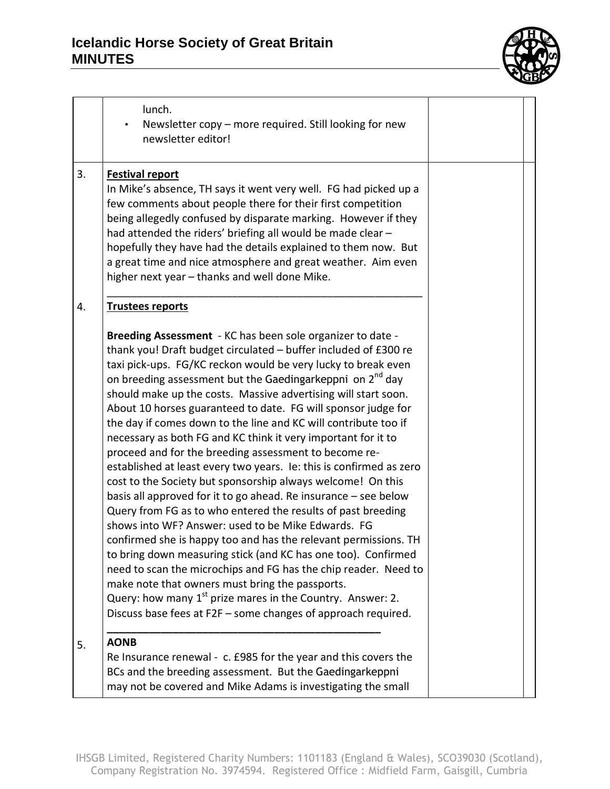## **Icelandic Horse Society of Great Britain MINUTES**



|    | lunch.<br>Newsletter copy - more required. Still looking for new<br>newsletter editor!                                                                                                                                                                                                                                                                                                                                                                                                                                                                                                                                                                                                                                                                                                                                                                                                                                                                                                                                                                                                                                                                                                                                                                                                                                               |  |
|----|--------------------------------------------------------------------------------------------------------------------------------------------------------------------------------------------------------------------------------------------------------------------------------------------------------------------------------------------------------------------------------------------------------------------------------------------------------------------------------------------------------------------------------------------------------------------------------------------------------------------------------------------------------------------------------------------------------------------------------------------------------------------------------------------------------------------------------------------------------------------------------------------------------------------------------------------------------------------------------------------------------------------------------------------------------------------------------------------------------------------------------------------------------------------------------------------------------------------------------------------------------------------------------------------------------------------------------------|--|
| 3. | <b>Festival report</b><br>In Mike's absence, TH says it went very well. FG had picked up a<br>few comments about people there for their first competition<br>being allegedly confused by disparate marking. However if they<br>had attended the riders' briefing all would be made clear -<br>hopefully they have had the details explained to them now. But<br>a great time and nice atmosphere and great weather. Aim even<br>higher next year - thanks and well done Mike.                                                                                                                                                                                                                                                                                                                                                                                                                                                                                                                                                                                                                                                                                                                                                                                                                                                        |  |
| 4. | <b>Trustees reports</b>                                                                                                                                                                                                                                                                                                                                                                                                                                                                                                                                                                                                                                                                                                                                                                                                                                                                                                                                                                                                                                                                                                                                                                                                                                                                                                              |  |
|    | Breeding Assessment - KC has been sole organizer to date -<br>thank you! Draft budget circulated - buffer included of £300 re<br>taxi pick-ups. FG/KC reckon would be very lucky to break even<br>on breeding assessment but the Gaedingarkeppni on 2 <sup>nd</sup> day<br>should make up the costs. Massive advertising will start soon.<br>About 10 horses guaranteed to date. FG will sponsor judge for<br>the day if comes down to the line and KC will contribute too if<br>necessary as both FG and KC think it very important for it to<br>proceed and for the breeding assessment to become re-<br>established at least every two years. Ie: this is confirmed as zero<br>cost to the Society but sponsorship always welcome! On this<br>basis all approved for it to go ahead. Re insurance - see below<br>Query from FG as to who entered the results of past breeding<br>shows into WF? Answer: used to be Mike Edwards. FG<br>confirmed she is happy too and has the relevant permissions. TH<br>to bring down measuring stick (and KC has one too). Confirmed<br>need to scan the microchips and FG has the chip reader. Need to<br>make note that owners must bring the passports.<br>Query: how many $1^{st}$ prize mares in the Country. Answer: 2.<br>Discuss base fees at F2F - some changes of approach required. |  |
| 5. | <b>AONB</b>                                                                                                                                                                                                                                                                                                                                                                                                                                                                                                                                                                                                                                                                                                                                                                                                                                                                                                                                                                                                                                                                                                                                                                                                                                                                                                                          |  |
|    | Re Insurance renewal - c. £985 for the year and this covers the<br>BCs and the breeding assessment. But the Gaedingarkeppni<br>may not be covered and Mike Adams is investigating the small                                                                                                                                                                                                                                                                                                                                                                                                                                                                                                                                                                                                                                                                                                                                                                                                                                                                                                                                                                                                                                                                                                                                          |  |